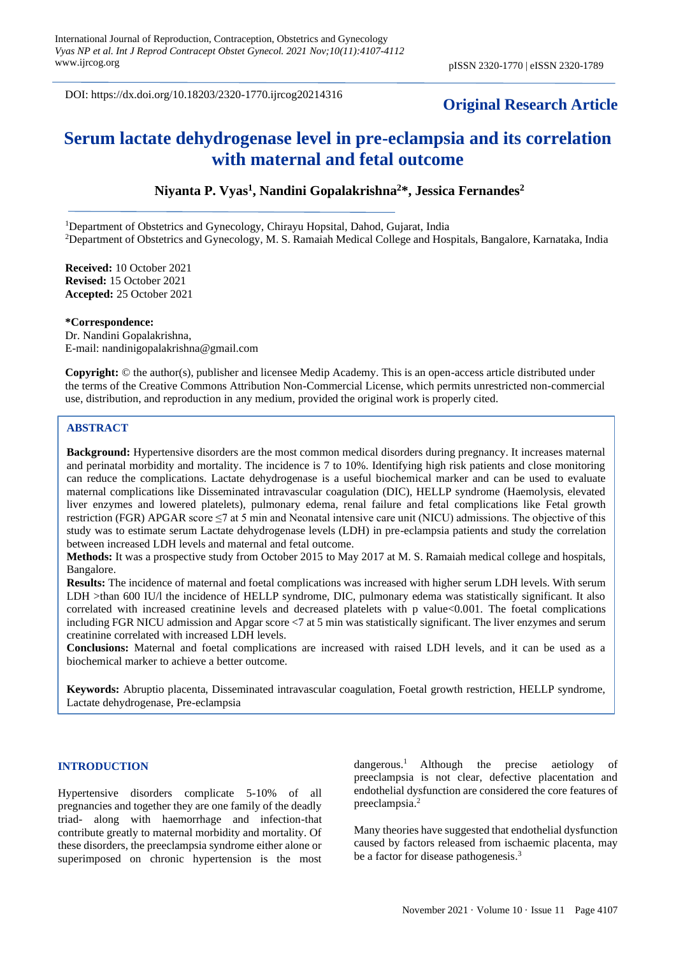DOI: https://dx.doi.org/10.18203/2320-1770.ijrcog20214316

## **Original Research Article**

# **Serum lactate dehydrogenase level in pre-eclampsia and its correlation with maternal and fetal outcome**

**Niyanta P. Vyas<sup>1</sup> , Nandini Gopalakrishna<sup>2</sup>\*, Jessica Fernandes<sup>2</sup>**

<sup>1</sup>Department of Obstetrics and Gynecology, Chirayu Hopsital, Dahod, Gujarat, India <sup>2</sup>Department of Obstetrics and Gynecology, M. S. Ramaiah Medical College and Hospitals, Bangalore, Karnataka, India

**Received:** 10 October 2021 **Revised:** 15 October 2021 **Accepted:** 25 October 2021

#### **\*Correspondence:**

Dr. Nandini Gopalakrishna, E-mail: nandinigopalakrishna@gmail.com

**Copyright:** © the author(s), publisher and licensee Medip Academy. This is an open-access article distributed under the terms of the Creative Commons Attribution Non-Commercial License, which permits unrestricted non-commercial use, distribution, and reproduction in any medium, provided the original work is properly cited.

## **ABSTRACT**

**Background:** Hypertensive disorders are the most common medical disorders during pregnancy. It increases maternal and perinatal morbidity and mortality. The incidence is 7 to 10%. Identifying high risk patients and close monitoring can reduce the complications. Lactate dehydrogenase is a useful biochemical marker and can be used to evaluate maternal complications like Disseminated intravascular coagulation (DIC), HELLP syndrome (Haemolysis, elevated liver enzymes and lowered platelets), pulmonary edema, renal failure and fetal complications like Fetal growth restriction (FGR) APGAR score ≤7 at 5 min and Neonatal intensive care unit (NICU) admissions. The objective of this study was to estimate serum Lactate dehydrogenase levels (LDH) in pre-eclampsia patients and study the correlation between increased LDH levels and maternal and fetal outcome.

**Methods:** It was a prospective study from October 2015 to May 2017 at M. S. Ramaiah medical college and hospitals, Bangalore.

**Results:** The incidence of maternal and foetal complications was increased with higher serum LDH levels. With serum LDH >than 600 IU/l the incidence of HELLP syndrome, DIC, pulmonary edema was statistically significant. It also correlated with increased creatinine levels and decreased platelets with p value<0.001. The foetal complications including FGR NICU admission and Apgar score <7 at 5 min was statistically significant. The liver enzymes and serum creatinine correlated with increased LDH levels.

**Conclusions:** Maternal and foetal complications are increased with raised LDH levels, and it can be used as a biochemical marker to achieve a better outcome.

**Keywords:** Abruptio placenta, Disseminated intravascular coagulation, Foetal growth restriction, HELLP syndrome, Lactate dehydrogenase, Pre-eclampsia

## **INTRODUCTION**

Hypertensive disorders complicate 5-10% of all pregnancies and together they are one family of the deadly triad- along with haemorrhage and infection-that contribute greatly to maternal morbidity and mortality. Of these disorders, the preeclampsia syndrome either alone or superimposed on chronic hypertension is the most dangerous.<sup>1</sup> Although the precise aetiology of preeclampsia is not clear, defective placentation and endothelial dysfunction are considered the core features of preeclampsia.<sup>2</sup>

Many theories have suggested that endothelial dysfunction caused by factors released from ischaemic placenta, may be a factor for disease pathogenesis.<sup>3</sup>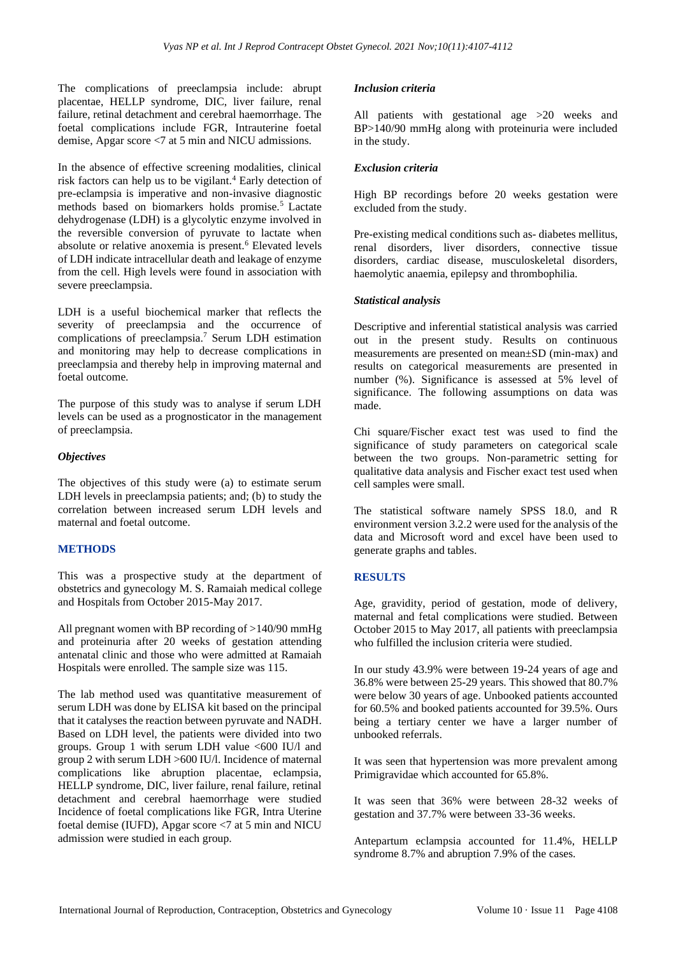The complications of preeclampsia include: abrupt placentae, HELLP syndrome, DIC, liver failure, renal failure, retinal detachment and cerebral haemorrhage. The foetal complications include FGR, Intrauterine foetal demise, Apgar score <7 at 5 min and NICU admissions.

In the absence of effective screening modalities, clinical risk factors can help us to be vigilant.<sup>4</sup> Early detection of pre-eclampsia is imperative and non-invasive diagnostic methods based on biomarkers holds promise.<sup>5</sup> Lactate dehydrogenase (LDH) is a glycolytic enzyme involved in the reversible conversion of pyruvate to lactate when absolute or relative anoxemia is present.<sup>6</sup> Elevated levels of LDH indicate intracellular death and leakage of enzyme from the cell. High levels were found in association with severe preeclampsia.

LDH is a useful biochemical marker that reflects the severity of preeclampsia and the occurrence of complications of preeclampsia.<sup>7</sup> Serum LDH estimation and monitoring may help to decrease complications in preeclampsia and thereby help in improving maternal and foetal outcome.

The purpose of this study was to analyse if serum LDH levels can be used as a prognosticator in the management of preeclampsia.

## *Objectives*

The objectives of this study were (a) to estimate serum LDH levels in preeclampsia patients; and; (b) to study the correlation between increased serum LDH levels and maternal and foetal outcome.

## **METHODS**

This was a prospective study at the department of obstetrics and gynecology M. S. Ramaiah medical college and Hospitals from October 2015-May 2017.

All pregnant women with BP recording of >140/90 mmHg and proteinuria after 20 weeks of gestation attending antenatal clinic and those who were admitted at Ramaiah Hospitals were enrolled. The sample size was 115.

The lab method used was quantitative measurement of serum LDH was done by ELISA kit based on the principal that it catalyses the reaction between pyruvate and NADH. Based on LDH level, the patients were divided into two groups. Group 1 with serum LDH value <600 IU/l and group 2 with serum LDH >600 IU/l. Incidence of maternal complications like abruption placentae, eclampsia, HELLP syndrome, DIC, liver failure, renal failure, retinal detachment and cerebral haemorrhage were studied Incidence of foetal complications like FGR, Intra Uterine foetal demise (IUFD), Apgar score <7 at 5 min and NICU admission were studied in each group.

## *Inclusion criteria*

All patients with gestational age >20 weeks and BP>140/90 mmHg along with proteinuria were included in the study.

## *Exclusion criteria*

High BP recordings before 20 weeks gestation were excluded from the study.

Pre-existing medical conditions such as- diabetes mellitus, renal disorders, liver disorders, connective tissue disorders, cardiac disease, musculoskeletal disorders, haemolytic anaemia, epilepsy and thrombophilia.

## *Statistical analysis*

Descriptive and inferential statistical analysis was carried out in the present study. Results on continuous measurements are presented on mean±SD (min-max) and results on categorical measurements are presented in number (%). Significance is assessed at 5% level of significance. The following assumptions on data was made.

Chi square/Fischer exact test was used to find the significance of study parameters on categorical scale between the two groups. Non-parametric setting for qualitative data analysis and Fischer exact test used when cell samples were small.

The statistical software namely SPSS 18.0, and R environment version 3.2.2 were used for the analysis of the data and Microsoft word and excel have been used to generate graphs and tables.

## **RESULTS**

Age, gravidity, period of gestation, mode of delivery, maternal and fetal complications were studied. Between October 2015 to May 2017, all patients with preeclampsia who fulfilled the inclusion criteria were studied.

In our study 43.9% were between 19-24 years of age and 36.8% were between 25-29 years. This showed that 80.7% were below 30 years of age. Unbooked patients accounted for 60.5% and booked patients accounted for 39.5%. Ours being a tertiary center we have a larger number of unbooked referrals.

It was seen that hypertension was more prevalent among Primigravidae which accounted for 65.8%.

It was seen that 36% were between 28-32 weeks of gestation and 37.7% were between 33-36 weeks.

Antepartum eclampsia accounted for 11.4%, HELLP syndrome 8.7% and abruption 7.9% of the cases.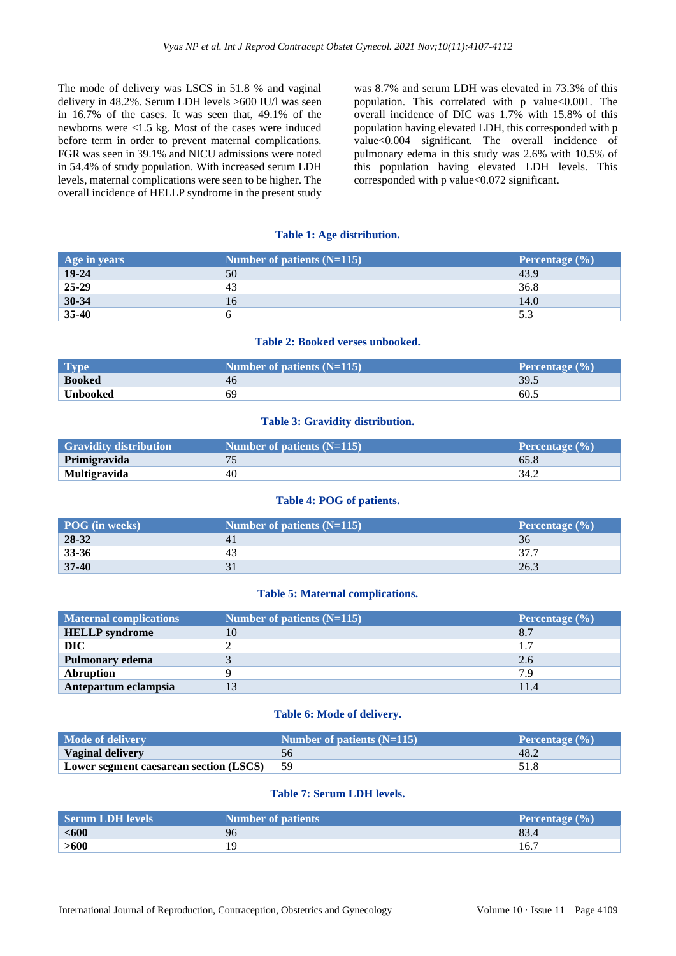The mode of delivery was LSCS in 51.8 % and vaginal delivery in 48.2%. Serum LDH levels >600 IU/l was seen in 16.7% of the cases. It was seen that, 49.1% of the newborns were <1.5 kg. Most of the cases were induced before term in order to prevent maternal complications. FGR was seen in 39.1% and NICU admissions were noted in 54.4% of study population. With increased serum LDH levels, maternal complications were seen to be higher. The overall incidence of HELLP syndrome in the present study was 8.7% and serum LDH was elevated in 73.3% of this population. This correlated with p value<0.001. The overall incidence of DIC was 1.7% with 15.8% of this population having elevated LDH, this corresponded with p value<0.004 significant. The overall incidence of pulmonary edema in this study was 2.6% with 10.5% of this population having elevated LDH levels. This corresponded with p value<0.072 significant.

#### **Table 1: Age distribution.**

| Age in years | Number of patients $(N=115)$ | Percentage $(\% )$ |
|--------------|------------------------------|--------------------|
| $19 - 24$    | 50                           | 43.9               |
| 25-29        | 4:                           | 36.8               |
| 30-34        |                              | 14.0               |
| 35-40        |                              | 5.3                |

## **Table 2: Booked verses unbooked.**

| <b>Type</b>   | Number of patients $(N=115)$ | <b>Percentage</b> $(\% )$ |
|---------------|------------------------------|---------------------------|
| <b>Booked</b> | 46                           | 39.5                      |
| Unbooked      |                              | 60.5                      |

## **Table 3: Gravidity distribution.**

| <b>Gravidity distribution</b> | Number of patients $(N=115)$ | <b>Percentage</b> $(\% )$ |
|-------------------------------|------------------------------|---------------------------|
| Primigravida                  |                              | 65.8                      |
| <b>Multigravida</b>           | 40                           | 34.2                      |

#### **Table 4: POG of patients.**

| POG (in weeks) | Number of patients $(N=115)$ | Percentage $(\% )$ |
|----------------|------------------------------|--------------------|
| 28-32          |                              | 36                 |
| 33-36          | 4.                           | 27.7               |
| $37 - 40$      |                              | 26.3               |

#### **Table 5: Maternal complications.**

| <b>Maternal complications</b> | Number of patients $(N=115)$ | Percentage $(\% )$ |
|-------------------------------|------------------------------|--------------------|
| <b>HELLP</b> syndrome         |                              | 8.7                |
| <b>DIC</b>                    |                              | 1.7                |
| <b>Pulmonary edema</b>        |                              | 2.6                |
| <b>Abruption</b>              |                              | 7.9                |
| Antepartum eclampsia          |                              | 11.4               |

#### **Table 6: Mode of delivery.**

| Mode of delivery                       | Number of patients $(N=115)$ | <b>Percentage</b> $(\%)$ |
|----------------------------------------|------------------------------|--------------------------|
| <b>Vaginal delivery</b>                |                              | 48.2                     |
| Lower segment caesarean section (LSCS) |                              |                          |

#### **Table 7: Serum LDH levels.**

| <b>Serum LDH levels</b> | <b>Number of patients</b> | <b>Percentage</b> $(\% )$ |
|-------------------------|---------------------------|---------------------------|
| $600$                   | 96                        | 83.4                      |
| >600                    |                           | 16.7                      |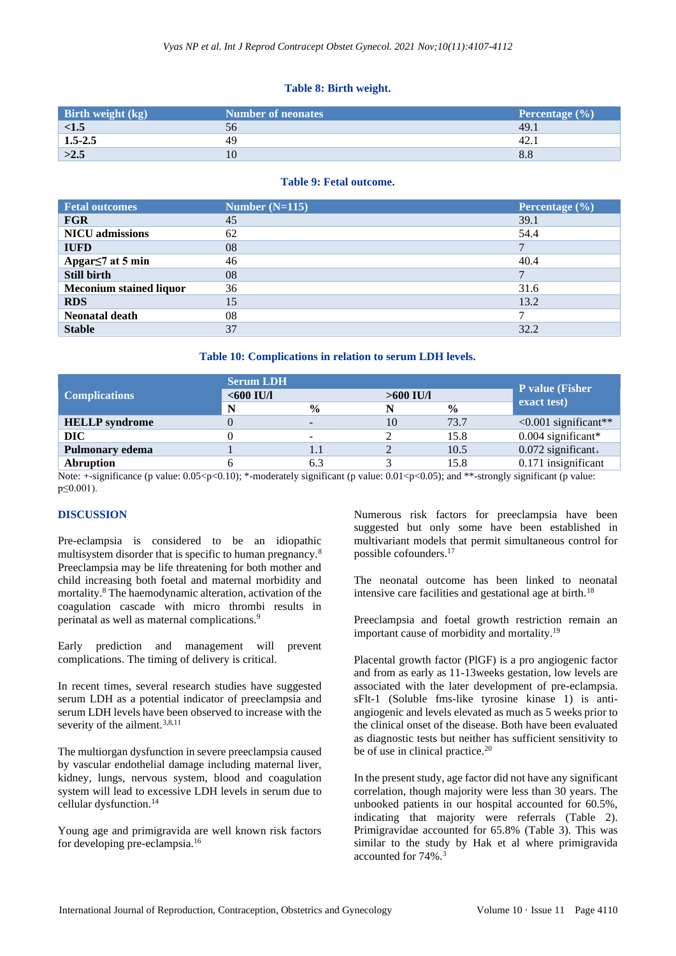## **Table 8: Birth weight.**

| Birth weight (kg) | <b>Number of neonates</b> | Percentage $(\% )$ |
|-------------------|---------------------------|--------------------|
| <1.5              | 56                        | 49.1               |
| $1.5 - 2.5$       | 49                        |                    |
| >2.5              |                           | 8.8                |

#### **Table 9: Fetal outcome.**

| <b>Fetal outcomes</b>          | Number $(N=115)$ | Percentage $(\% )$ |
|--------------------------------|------------------|--------------------|
| <b>FGR</b>                     | 45               | 39.1               |
| <b>NICU</b> admissions         | 62               | 54.4               |
| <b>IUFD</b>                    | 08               |                    |
| Apgar $\leq$ 7 at 5 min        | 46               | 40.4               |
| <b>Still birth</b>             | 08               |                    |
| <b>Meconium stained liquor</b> | 36               | 31.6               |
| <b>RDS</b>                     | 15               | 13.2               |
| <b>Neonatal death</b>          | 08               |                    |
| <b>Stable</b>                  | 37               | 32.2               |

#### **Table 10: Complications in relation to serum LDH levels.**

| <b>Complications</b>   | <b>Serum LDH</b><br>$<$ 600 IU/l<br>$>600$ IU/I |                          |    | <b>P</b> value (Fisher |                            |
|------------------------|-------------------------------------------------|--------------------------|----|------------------------|----------------------------|
|                        | N                                               | $\frac{0}{0}$            | N  | $\frac{0}{0}$          | exact test)                |
| <b>HELLP</b> syndrome  |                                                 | $\overline{\phantom{a}}$ | 10 | 73.7                   | $\leq 0.001$ significant** |
| <b>DIC</b>             |                                                 |                          |    | 15.8                   | $0.004$ significant*       |
| <b>Pulmonary edema</b> |                                                 | 1.1                      |    | 10.5                   | $0.072$ significant.       |
| <b>Abruption</b>       |                                                 | 6.3                      |    | 15.8                   | 0.171 insignificant        |

Note:  $+$ -significance (p value:  $0.05 < p < 0.10$ ); \*-moderately significant (p value:  $0.01 < p < 0.05$ ); and \*\*-strongly significant (p value: p≤0.001).

## **DISCUSSION**

Pre-eclampsia is considered to be an idiopathic multisystem disorder that is specific to human pregnancy.<sup>8</sup> Preeclampsia may be life threatening for both mother and child increasing both foetal and maternal morbidity and mortality.<sup>8</sup> The haemodynamic alteration, activation of the coagulation cascade with micro thrombi results in perinatal as well as maternal complications.<sup>9</sup>

Early prediction and management will prevent complications. The timing of delivery is critical.

In recent times, several research studies have suggested serum LDH as a potential indicator of preeclampsia and serum LDH levels have been observed to increase with the severity of the ailment.<sup>3,8,11</sup>

The multiorgan dysfunction in severe preeclampsia caused by vascular endothelial damage including maternal liver, kidney, lungs, nervous system, blood and coagulation system will lead to excessive LDH levels in serum due to cellular dysfunction.<sup>14</sup>

Young age and primigravida are well known risk factors for developing pre-eclampsia.<sup>16</sup>

Numerous risk factors for preeclampsia have been suggested but only some have been established in multivariant models that permit simultaneous control for possible cofounders.<sup>17</sup>

The neonatal outcome has been linked to neonatal intensive care facilities and gestational age at birth.<sup>18</sup>

Preeclampsia and foetal growth restriction remain an important cause of morbidity and mortality.<sup>19</sup>

Placental growth factor (PlGF) is a pro angiogenic factor and from as early as 11-13weeks gestation, low levels are associated with the later development of pre-eclampsia. sFlt-1 (Soluble fms-like tyrosine kinase 1) is antiangiogenic and levels elevated as much as 5 weeks prior to the clinical onset of the disease. Both have been evaluated as diagnostic tests but neither has sufficient sensitivity to be of use in clinical practice.<sup>20</sup>

In the present study, age factor did not have any significant correlation, though majority were less than 30 years. The unbooked patients in our hospital accounted for 60.5%, indicating that majority were referrals (Table 2). Primigravidae accounted for 65.8% (Table 3). This was similar to the study by Hak et al where primigravida accounted for 74%.3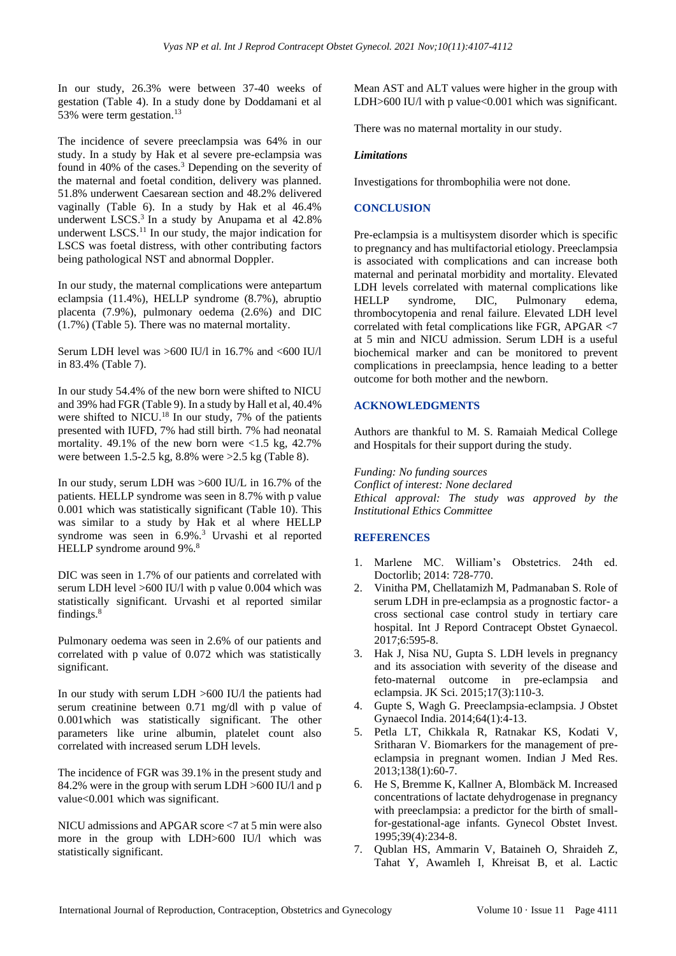In our study, 26.3% were between 37-40 weeks of gestation (Table 4). In a study done by Doddamani et al 53% were term gestation.<sup>13</sup>

The incidence of severe preeclampsia was 64% in our study. In a study by Hak et al severe pre-eclampsia was found in 40% of the cases.<sup>3</sup> Depending on the severity of the maternal and foetal condition, delivery was planned. 51.8% underwent Caesarean section and 48.2% delivered vaginally (Table 6). In a study by Hak et al 46.4% underwent LSCS. $3$  In a study by Anupama et al  $42.8\%$ underwent LSCS.<sup>11</sup> In our study, the major indication for LSCS was foetal distress, with other contributing factors being pathological NST and abnormal Doppler.

In our study, the maternal complications were antepartum eclampsia (11.4%), HELLP syndrome (8.7%), abruptio placenta (7.9%), pulmonary oedema (2.6%) and DIC (1.7%) (Table 5). There was no maternal mortality.

Serum LDH level was >600 IU/l in 16.7% and <600 IU/l in 83.4% (Table 7).

In our study 54.4% of the new born were shifted to NICU and 39% had FGR (Table 9). In a study by Hall et al, 40.4% were shifted to NICU.<sup>18</sup> In our study,  $7\%$  of the patients presented with IUFD, 7% had still birth. 7% had neonatal mortality. 49.1% of the new born were  $\langle 1.5 \text{ kg}, 42.7 \rangle$ were between 1.5-2.5 kg, 8.8% were >2.5 kg (Table 8).

In our study, serum LDH was >600 IU/L in 16.7% of the patients. HELLP syndrome was seen in 8.7% with p value 0.001 which was statistically significant (Table 10). This was similar to a study by Hak et al where HELLP syndrome was seen in 6.9%.<sup>3</sup> Urvashi et al reported HELLP syndrome around 9%.<sup>8</sup>

DIC was seen in 1.7% of our patients and correlated with serum LDH level >600 IU/l with p value 0.004 which was statistically significant. Urvashi et al reported similar findings.<sup>8</sup>

Pulmonary oedema was seen in 2.6% of our patients and correlated with p value of 0.072 which was statistically significant.

In our study with serum LDH >600 IU/l the patients had serum creatinine between 0.71 mg/dl with p value of 0.001which was statistically significant. The other parameters like urine albumin, platelet count also correlated with increased serum LDH levels.

The incidence of FGR was 39.1% in the present study and 84.2% were in the group with serum LDH >600 IU/l and p value<0.001 which was significant.

NICU admissions and APGAR score <7 at 5 min were also more in the group with LDH>600 IU/l which was statistically significant.

Mean AST and ALT values were higher in the group with LDH $>600$  IU/l with p value $< 0.001$  which was significant.

There was no maternal mortality in our study.

## *Limitations*

Investigations for thrombophilia were not done.

## **CONCLUSION**

Pre-eclampsia is a multisystem disorder which is specific to pregnancy and has multifactorial etiology. Preeclampsia is associated with complications and can increase both maternal and perinatal morbidity and mortality. Elevated LDH levels correlated with maternal complications like HELLP syndrome, DIC, Pulmonary edema, thrombocytopenia and renal failure. Elevated LDH level correlated with fetal complications like FGR, APGAR <7 at 5 min and NICU admission. Serum LDH is a useful biochemical marker and can be monitored to prevent complications in preeclampsia, hence leading to a better outcome for both mother and the newborn.

## **ACKNOWLEDGMENTS**

Authors are thankful to M. S. Ramaiah Medical College and Hospitals for their support during the study.

*Funding: No funding sources*

*Conflict of interest: None declared Ethical approval: The study was approved by the Institutional Ethics Committee*

## **REFERENCES**

- 1. Marlene MC. William's Obstetrics. 24th ed. Doctorlib; 2014: 728-770.
- 2. Vinitha PM, Chellatamizh M, Padmanaban S. Role of serum LDH in pre-eclampsia as a prognostic factor- a cross sectional case control study in tertiary care hospital. Int J Repord Contracept Obstet Gynaecol. 2017;6:595-8.
- 3. Hak J, Nisa NU, Gupta S. LDH levels in pregnancy and its association with severity of the disease and feto-maternal outcome in pre-eclampsia and eclampsia. JK Sci. 2015;17(3):110-3.
- 4. Gupte S, Wagh G. Preeclampsia-eclampsia. J Obstet Gynaecol India. 2014;64(1):4-13.
- 5. Petla LT, Chikkala R, Ratnakar KS, Kodati V, Sritharan V. Biomarkers for the management of preeclampsia in pregnant women. Indian J Med Res. 2013;138(1):60-7.
- 6. He S, Bremme K, Kallner A, Blombäck M. Increased concentrations of lactate dehydrogenase in pregnancy with preeclampsia: a predictor for the birth of smallfor-gestational-age infants. Gynecol Obstet Invest. 1995;39(4):234-8.
- 7. Qublan HS, Ammarin V, Bataineh O, Shraideh Z, Tahat Y, Awamleh I, Khreisat B, et al. Lactic